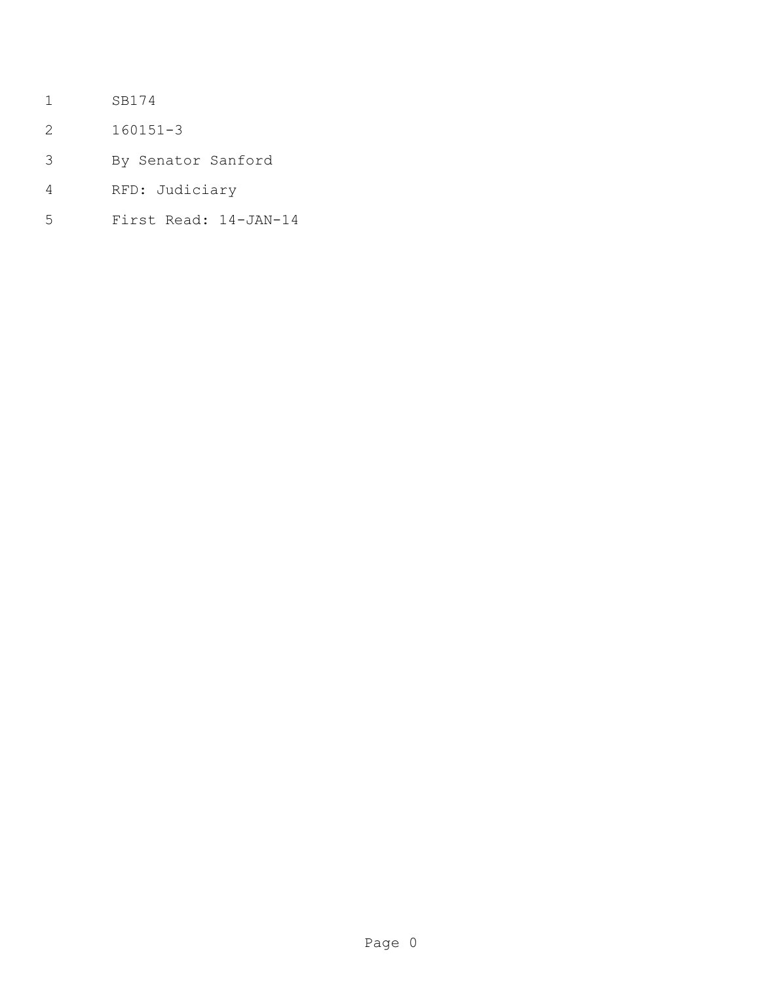- SB174
- 160151-3
- By Senator Sanford
- RFD: Judiciary
- First Read: 14-JAN-14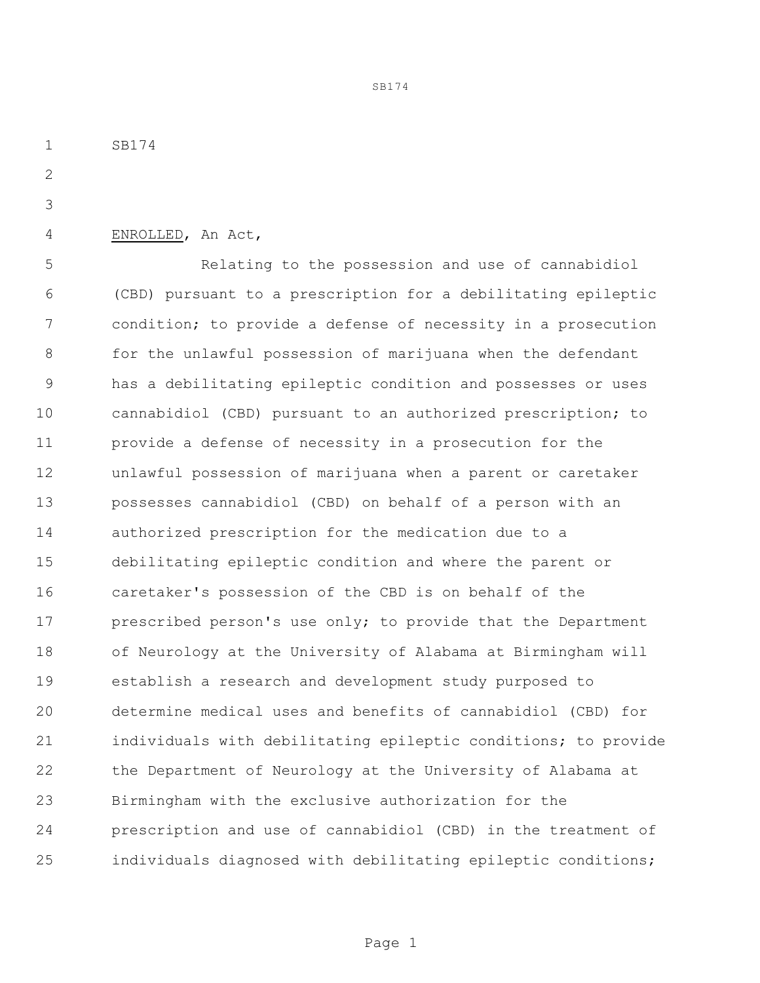SB174

ENROLLED, An Act,

 Relating to the possession and use of cannabidiol (CBD) pursuant to a prescription for a debilitating epileptic condition; to provide a defense of necessity in a prosecution 8 for the unlawful possession of marijuana when the defendant has a debilitating epileptic condition and possesses or uses cannabidiol (CBD) pursuant to an authorized prescription; to provide a defense of necessity in a prosecution for the unlawful possession of marijuana when a parent or caretaker possesses cannabidiol (CBD) on behalf of a person with an authorized prescription for the medication due to a debilitating epileptic condition and where the parent or caretaker's possession of the CBD is on behalf of the 17 prescribed person's use only; to provide that the Department of Neurology at the University of Alabama at Birmingham will establish a research and development study purposed to determine medical uses and benefits of cannabidiol (CBD) for individuals with debilitating epileptic conditions; to provide the Department of Neurology at the University of Alabama at Birmingham with the exclusive authorization for the prescription and use of cannabidiol (CBD) in the treatment of individuals diagnosed with debilitating epileptic conditions;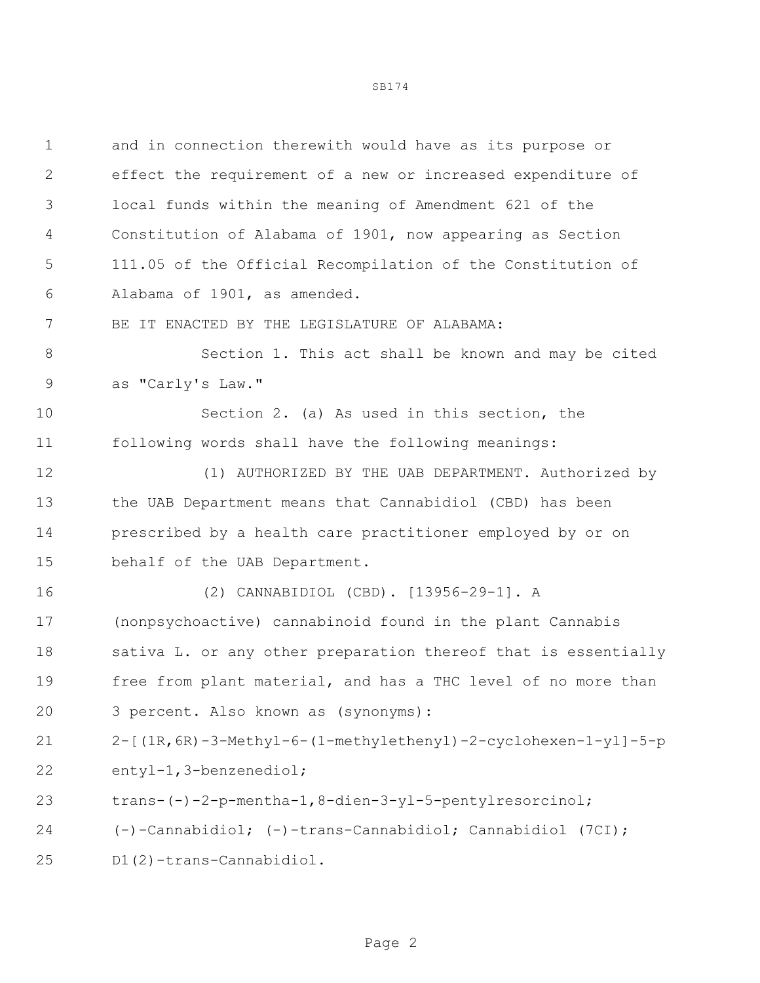and in connection therewith would have as its purpose or effect the requirement of a new or increased expenditure of local funds within the meaning of Amendment 621 of the Constitution of Alabama of 1901, now appearing as Section 111.05 of the Official Recompilation of the Constitution of Alabama of 1901, as amended. BE IT ENACTED BY THE LEGISLATURE OF ALABAMA: Section 1. This act shall be known and may be cited as "Carly's Law." Section 2. (a) As used in this section, the following words shall have the following meanings: (1) AUTHORIZED BY THE UAB DEPARTMENT. Authorized by the UAB Department means that Cannabidiol (CBD) has been prescribed by a health care practitioner employed by or on behalf of the UAB Department. (2) CANNABIDIOL (CBD). [13956-29-1]. A (nonpsychoactive) cannabinoid found in the plant Cannabis 18 sativa L. or any other preparation thereof that is essentially free from plant material, and has a THC level of no more than 3 percent. Also known as (synonyms): 2-[(1R,6R)-3-Methyl-6-(1-methylethenyl)-2-cyclohexen-1-yl]-5-p entyl-1,3-benzenediol; trans-(-)-2-p-mentha-1,8-dien-3-yl-5-pentylresorcinol;

SB174

(-)-Cannabidiol; (-)-trans-Cannabidiol; Cannabidiol (7CI);

D1(2)-trans-Cannabidiol.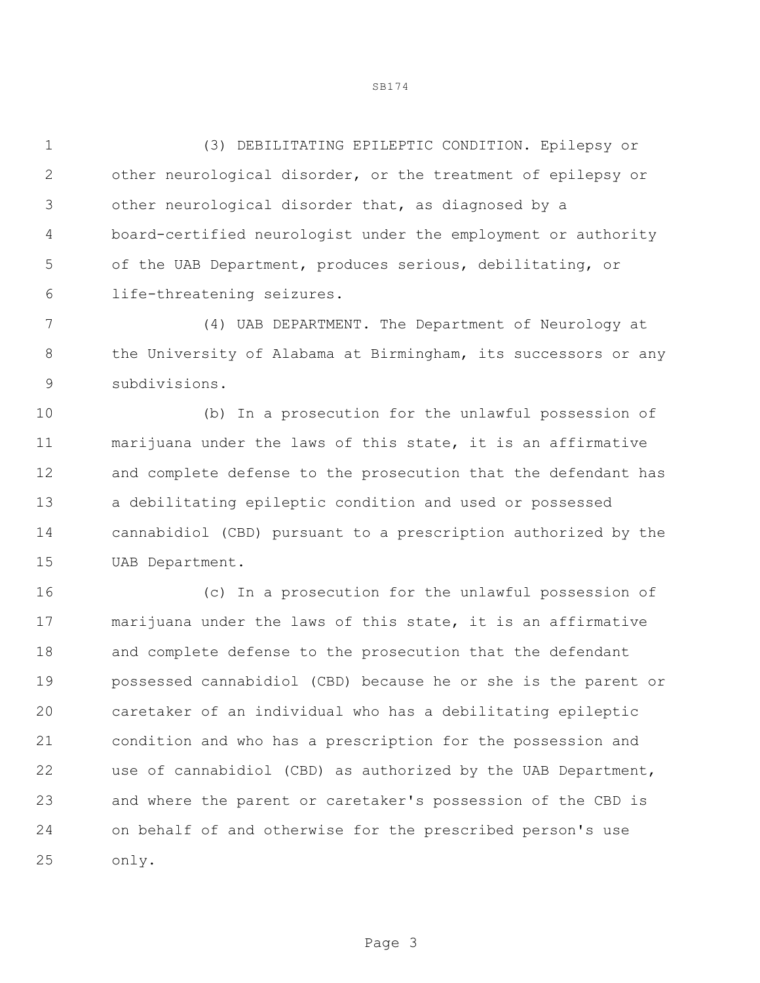(3) DEBILITATING EPILEPTIC CONDITION. Epilepsy or other neurological disorder, or the treatment of epilepsy or other neurological disorder that, as diagnosed by a board-certified neurologist under the employment or authority of the UAB Department, produces serious, debilitating, or life-threatening seizures.

 (4) UAB DEPARTMENT. The Department of Neurology at 8 the University of Alabama at Birmingham, its successors or any subdivisions.

 (b) In a prosecution for the unlawful possession of marijuana under the laws of this state, it is an affirmative and complete defense to the prosecution that the defendant has a debilitating epileptic condition and used or possessed cannabidiol (CBD) pursuant to a prescription authorized by the UAB Department.

 (c) In a prosecution for the unlawful possession of marijuana under the laws of this state, it is an affirmative and complete defense to the prosecution that the defendant possessed cannabidiol (CBD) because he or she is the parent or caretaker of an individual who has a debilitating epileptic condition and who has a prescription for the possession and use of cannabidiol (CBD) as authorized by the UAB Department, and where the parent or caretaker's possession of the CBD is on behalf of and otherwise for the prescribed person's use only.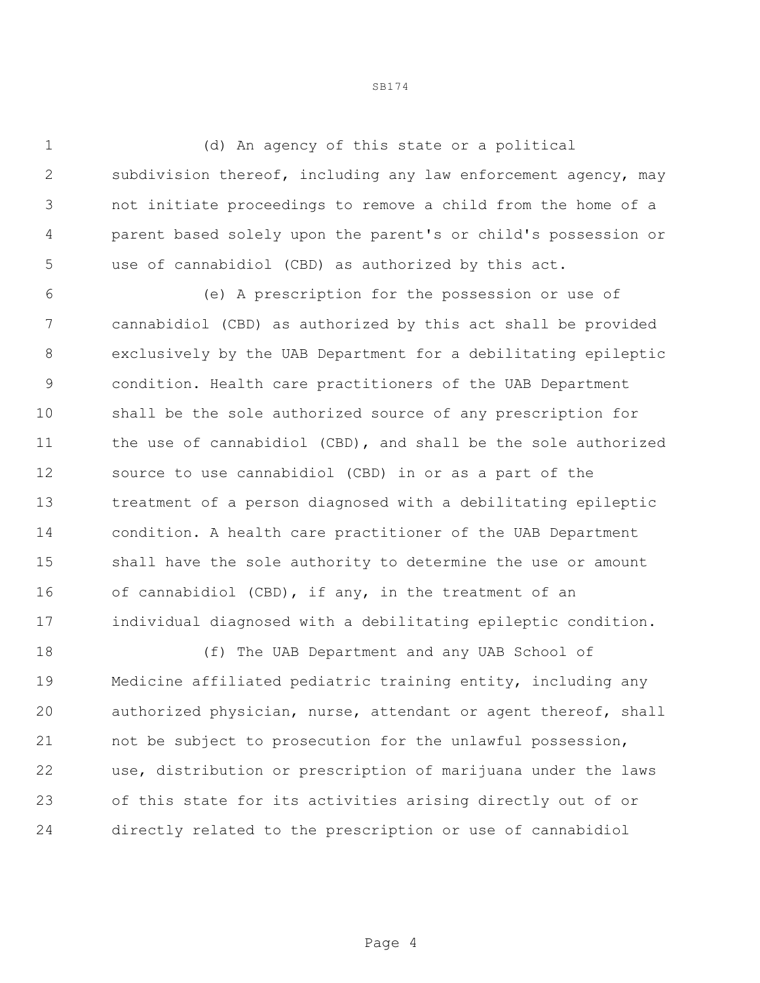(d) An agency of this state or a political subdivision thereof, including any law enforcement agency, may not initiate proceedings to remove a child from the home of a parent based solely upon the parent's or child's possession or use of cannabidiol (CBD) as authorized by this act.

 (e) A prescription for the possession or use of cannabidiol (CBD) as authorized by this act shall be provided exclusively by the UAB Department for a debilitating epileptic condition. Health care practitioners of the UAB Department shall be the sole authorized source of any prescription for the use of cannabidiol (CBD), and shall be the sole authorized source to use cannabidiol (CBD) in or as a part of the treatment of a person diagnosed with a debilitating epileptic condition. A health care practitioner of the UAB Department shall have the sole authority to determine the use or amount of cannabidiol (CBD), if any, in the treatment of an individual diagnosed with a debilitating epileptic condition.

 (f) The UAB Department and any UAB School of Medicine affiliated pediatric training entity, including any authorized physician, nurse, attendant or agent thereof, shall not be subject to prosecution for the unlawful possession, use, distribution or prescription of marijuana under the laws of this state for its activities arising directly out of or directly related to the prescription or use of cannabidiol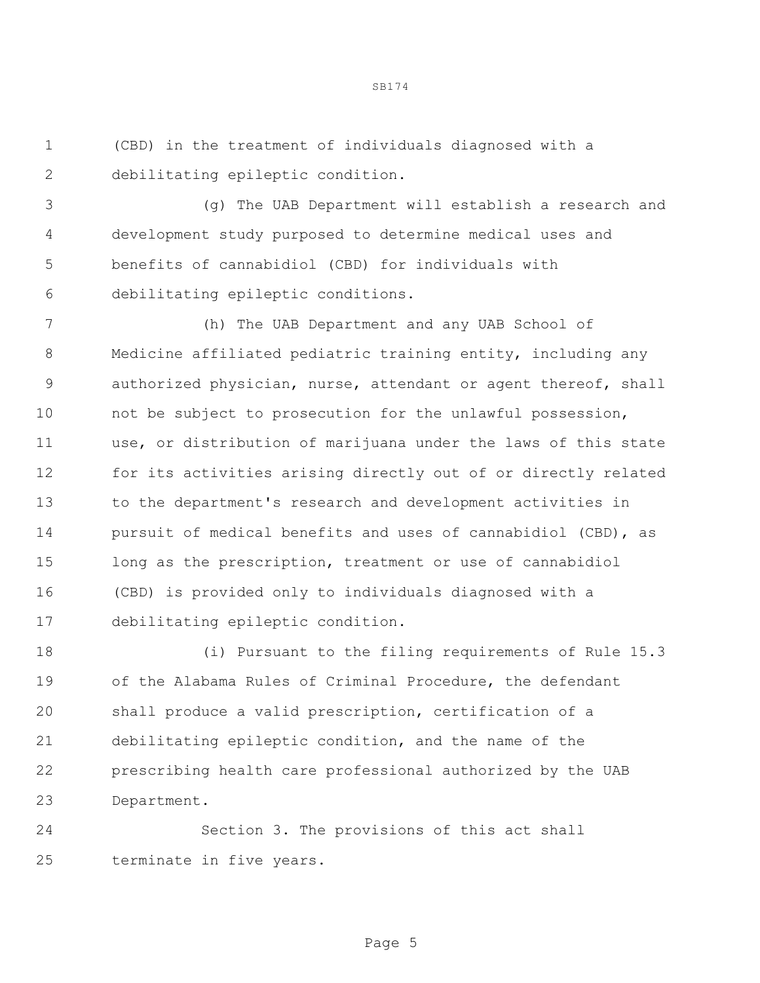(CBD) in the treatment of individuals diagnosed with a debilitating epileptic condition.

 (g) The UAB Department will establish a research and development study purposed to determine medical uses and benefits of cannabidiol (CBD) for individuals with debilitating epileptic conditions.

SB174

 (h) The UAB Department and any UAB School of Medicine affiliated pediatric training entity, including any authorized physician, nurse, attendant or agent thereof, shall not be subject to prosecution for the unlawful possession, use, or distribution of marijuana under the laws of this state for its activities arising directly out of or directly related to the department's research and development activities in pursuit of medical benefits and uses of cannabidiol (CBD), as long as the prescription, treatment or use of cannabidiol (CBD) is provided only to individuals diagnosed with a debilitating epileptic condition.

 (i) Pursuant to the filing requirements of Rule 15.3 of the Alabama Rules of Criminal Procedure, the defendant shall produce a valid prescription, certification of a debilitating epileptic condition, and the name of the prescribing health care professional authorized by the UAB Department.

 Section 3. The provisions of this act shall terminate in five years.

Page 5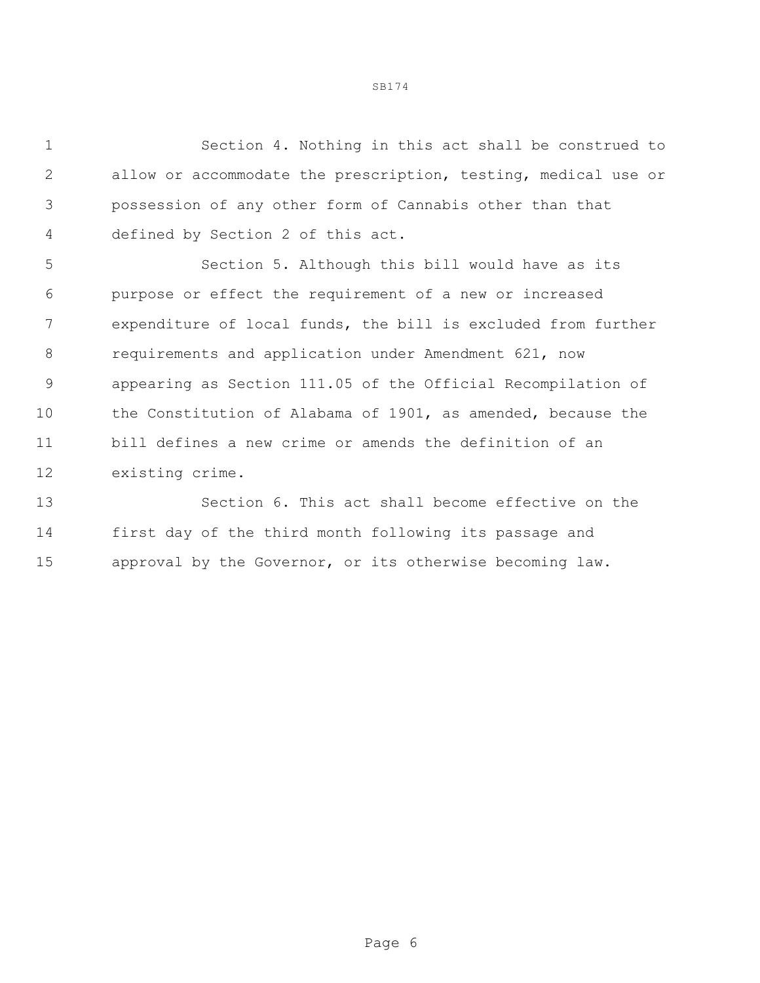Section 4. Nothing in this act shall be construed to allow or accommodate the prescription, testing, medical use or possession of any other form of Cannabis other than that defined by Section 2 of this act.

 Section 5. Although this bill would have as its purpose or effect the requirement of a new or increased expenditure of local funds, the bill is excluded from further requirements and application under Amendment 621, now appearing as Section 111.05 of the Official Recompilation of the Constitution of Alabama of 1901, as amended, because the bill defines a new crime or amends the definition of an existing crime.

 Section 6. This act shall become effective on the first day of the third month following its passage and approval by the Governor, or its otherwise becoming law.